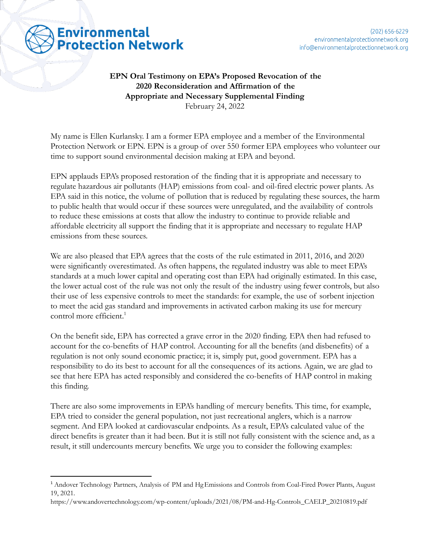**EPN Oral Testimony on EPA's Proposed Revocation of the 2020 Reconsideration and Affirmation of the Appropriate and Necessary Supplemental Finding** February 24, 2022

**Environmental** 

**Protection Network** 

My name is Ellen Kurlansky. I am a former EPA employee and a member of the Environmental Protection Network or EPN. EPN is a group of over 550 former EPA employees who volunteer our time to support sound environmental decision making at EPA and beyond.

EPN applauds EPA's proposed restoration of the finding that it is appropriate and necessary to regulate hazardous air pollutants (HAP) emissions from coal- and oil-fired electric power plants. As EPA said in this notice, the volume of pollution that is reduced by regulating these sources, the harm to public health that would occur if these sources were unregulated, and the availability of controls to reduce these emissions at costs that allow the industry to continue to provide reliable and affordable electricity all support the finding that it is appropriate and necessary to regulate HAP emissions from these sources.

We are also pleased that EPA agrees that the costs of the rule estimated in 2011, 2016, and 2020 were significantly overestimated. As often happens, the regulated industry was able to meet EPA's standards at a much lower capital and operating cost than EPA had originally estimated. In this case, the lower actual cost of the rule was not only the result of the industry using fewer controls, but also their use of less expensive controls to meet the standards: for example, the use of sorbent injection to meet the acid gas standard and improvements in activated carbon making its use for mercury control more efficient.<sup>1</sup>

On the benefit side, EPA has corrected a grave error in the 2020 finding. EPA then had refused to account for the co-benefits of HAP control. Accounting for all the benefits (and disbenefits) of a regulation is not only sound economic practice; it is, simply put, good government. EPA has a responsibility to do its best to account for all the consequences of its actions. Again, we are glad to see that here EPA has acted responsibly and considered the co-benefits of HAP control in making this finding.

There are also some improvements in EPA's handling of mercury benefits. This time, for example, EPA tried to consider the general population, not just recreational anglers, which is a narrow segment. And EPA looked at cardiovascular endpoints. As a result, EPA's calculated value of the direct benefits is greater than it had been. But it is still not fully consistent with the science and, as a result, it still undercounts mercury benefits. We urge you to consider the following examples:

<sup>1</sup> Andover Technology Partners, Analysis of PM and HgEmissions and Controls from Coal-Fired Power Plants, August 19, 2021.

https://www.andovertechnology.com/wp-content/uploads/2021/08/PM-and-Hg-Controls\_CAELP\_20210819.pdf